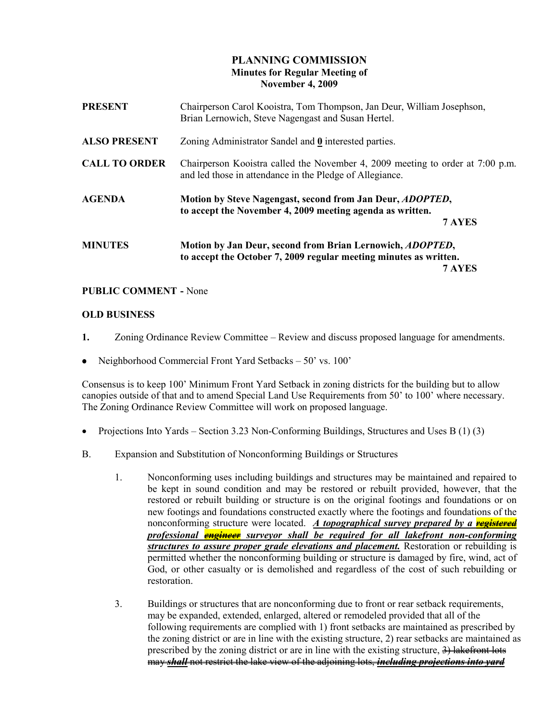## PLANNING COMMISSION Minutes for Regular Meeting of November 4, 2009

| <b>PRESENT</b>       | Chairperson Carol Kooistra, Tom Thompson, Jan Deur, William Josephson,<br>Brian Lernowich, Steve Nagengast and Susan Hertel.                     |
|----------------------|--------------------------------------------------------------------------------------------------------------------------------------------------|
| <b>ALSO PRESENT</b>  | Zoning Administrator Sandel and 0 interested parties.                                                                                            |
| <b>CALL TO ORDER</b> | Chairperson Kooistra called the November 4, 2009 meeting to order at 7:00 p.m.<br>and led those in attendance in the Pledge of Allegiance.       |
| <b>AGENDA</b>        | Motion by Steve Nagengast, second from Jan Deur, <i>ADOPTED</i> ,<br>to accept the November 4, 2009 meeting agenda as written.<br>7 AYES         |
| <b>MINUTES</b>       | Motion by Jan Deur, second from Brian Lernowich, <i>ADOPTED</i> ,<br>to accept the October 7, 2009 regular meeting minutes as written.<br>7 AYES |

## PUBLIC COMMENT - None

#### OLD BUSINESS

- 1. Zoning Ordinance Review Committee Review and discuss proposed language for amendments.
- Neighborhood Commercial Front Yard Setbacks 50' vs. 100'

Consensus is to keep 100' Minimum Front Yard Setback in zoning districts for the building but to allow canopies outside of that and to amend Special Land Use Requirements from 50' to 100' where necessary. The Zoning Ordinance Review Committee will work on proposed language.

- Projections Into Yards Section 3.23 Non-Conforming Buildings, Structures and Uses B (1) (3)
- B. Expansion and Substitution of Nonconforming Buildings or Structures
	- 1. Nonconforming uses including buildings and structures may be maintained and repaired to be kept in sound condition and may be restored or rebuilt provided, however, that the restored or rebuilt building or structure is on the original footings and foundations or on new footings and foundations constructed exactly where the footings and foundations of the nonconforming structure were located. A topographical survey prepared by a **registered** professional **engineer** surveyor shall be required for all lakefront non-conforming structures to assure proper grade elevations and placement. Restoration or rebuilding is permitted whether the nonconforming building or structure is damaged by fire, wind, act of God, or other casualty or is demolished and regardless of the cost of such rebuilding or restoration.
	- 3. Buildings or structures that are nonconforming due to front or rear setback requirements, may be expanded, extended, enlarged, altered or remodeled provided that all of the following requirements are complied with 1) front setbacks are maintained as prescribed by the zoning district or are in line with the existing structure, 2) rear setbacks are maintained as prescribed by the zoning district or are in line with the existing structure,  $\frac{3}{2}$  lakefront lots may shall not restrict the lake view of the adjoining lots, including projections into yard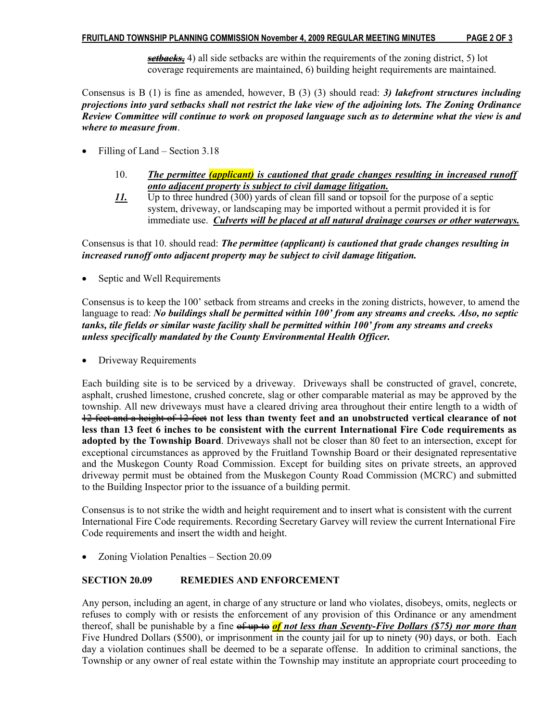setbacks, 4) all side setbacks are within the requirements of the zoning district, 5) lot coverage requirements are maintained, 6) building height requirements are maintained.

Consensus is B  $(1)$  is fine as amended, however, B  $(3)$   $(3)$  should read: 3) lakefront structures including projections into yard setbacks shall not restrict the lake view of the adjoining lots. The Zoning Ordinance Review Committee will continue to work on proposed language such as to determine what the view is and where to measure from.

- Filling of Land Section 3.18
	- 10. The permittee (applicant) is cautioned that grade changes resulting in increased runoff onto adjacent property is subject to civil damage litigation.
	- 11. Up to three hundred (300) yards of clean fill sand or topsoil for the purpose of a septic system, driveway, or landscaping may be imported without a permit provided it is for immediate use. Culverts will be placed at all natural drainage courses or other waterways.

Consensus is that 10. should read: The permittee (applicant) is cautioned that grade changes resulting in increased runoff onto adjacent property may be subject to civil damage litigation.

• Septic and Well Requirements

Consensus is to keep the 100' setback from streams and creeks in the zoning districts, however, to amend the language to read: No buildings shall be permitted within 100' from any streams and creeks. Also, no septic tanks, tile fields or similar waste facility shall be permitted within 100' from any streams and creeks unless specifically mandated by the County Environmental Health Officer.

• Driveway Requirements

Each building site is to be serviced by a driveway. Driveways shall be constructed of gravel, concrete, asphalt, crushed limestone, crushed concrete, slag or other comparable material as may be approved by the township. All new driveways must have a cleared driving area throughout their entire length to a width of 12 feet and a height of 12 feet not less than twenty feet and an unobstructed vertical clearance of not less than 13 feet 6 inches to be consistent with the current International Fire Code requirements as adopted by the Township Board. Driveways shall not be closer than 80 feet to an intersection, except for exceptional circumstances as approved by the Fruitland Township Board or their designated representative and the Muskegon County Road Commission. Except for building sites on private streets, an approved driveway permit must be obtained from the Muskegon County Road Commission (MCRC) and submitted to the Building Inspector prior to the issuance of a building permit.

Consensus is to not strike the width and height requirement and to insert what is consistent with the current International Fire Code requirements. Recording Secretary Garvey will review the current International Fire Code requirements and insert the width and height.

• Zoning Violation Penalties – Section 20.09

#### SECTION 20.09 REMEDIES AND ENFORCEMENT

Any person, including an agent, in charge of any structure or land who violates, disobeys, omits, neglects or refuses to comply with or resists the enforcement of any provision of this Ordinance or any amendment thereof, shall be punishable by a fine of up to **of not less than Seventy-Five Dollars (\$75) nor more than** Five Hundred Dollars (\$500), or imprisonment in the county jail for up to ninety (90) days, or both. Each day a violation continues shall be deemed to be a separate offense. In addition to criminal sanctions, the Township or any owner of real estate within the Township may institute an appropriate court proceeding to